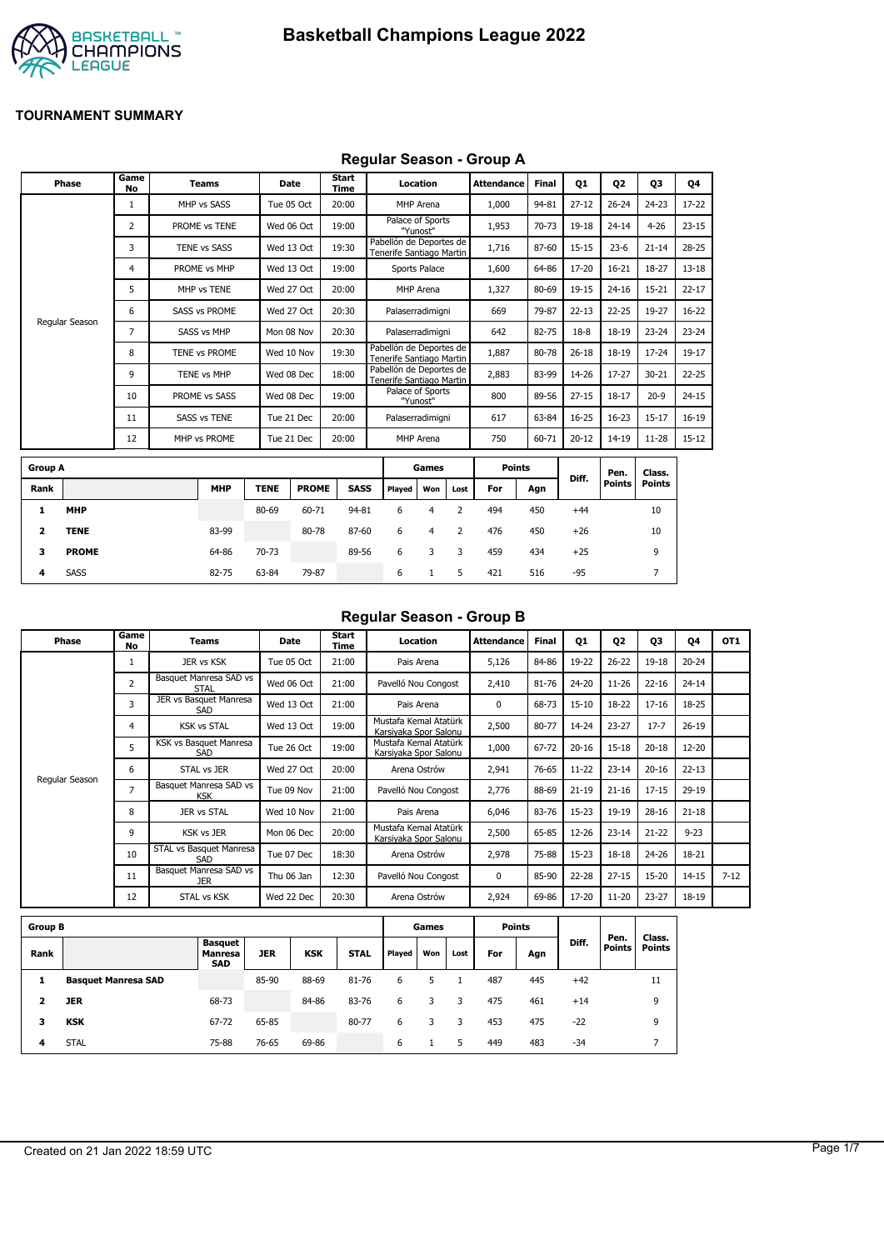

#### **Regular Season - Group A**

|                | Phase          | Game<br><b>No</b> | <b>Teams</b>         | Date        |              | <b>Start</b><br><b>Time</b> |                                                     | Location                     |                | <b>Attendance</b> | <b>Final</b> | <b>Q1</b> | 02                    | 03                      | 04        |
|----------------|----------------|-------------------|----------------------|-------------|--------------|-----------------------------|-----------------------------------------------------|------------------------------|----------------|-------------------|--------------|-----------|-----------------------|-------------------------|-----------|
|                |                | $\mathbf{1}$      | MHP vs SASS          | Tue 05 Oct  |              | 20:00                       |                                                     | MHP Arena                    |                | 1,000             | 94-81        | $27 - 12$ | $26 - 24$             | $24 - 23$               | 17-22     |
|                |                | 2                 | PROME vs TENE        | Wed 06 Oct  |              | 19:00                       |                                                     | Palace of Sports<br>"Yunost" |                | 1,953             | 70-73        | 19-18     | $24 - 14$             | $4 - 26$                | $23 - 15$ |
|                |                | 3                 | <b>TENE vs SASS</b>  | Wed 13 Oct  |              | 19:30                       | Pabellón de Deportes de<br>Tenerife Santiago Martin |                              |                | 1,716             | 87-60        | $15 - 15$ | $23 - 6$              | $21 - 14$               | $28 - 25$ |
|                |                | 4                 | PROME vs MHP         | Wed 13 Oct  |              | 19:00                       |                                                     | Sports Palace                |                | 1,600             | 64-86        | 17-20     | $16 - 21$             | 18-27                   | $13 - 18$ |
|                |                | 5                 | MHP vs TENE          | Wed 27 Oct  |              | 20:00                       |                                                     | MHP Arena                    |                | 1,327             | 80-69        | 19-15     | $24 - 16$             | $15 - 21$               | $22 - 17$ |
|                |                | 6                 | <b>SASS vs PROME</b> | Wed 27 Oct  |              | 20:30                       |                                                     | Palaserradimigni             |                | 669               | 79-87        | $22 - 13$ | $22 - 25$             | 19-27                   | $16 - 22$ |
|                | Regular Season | 7                 | <b>SASS vs MHP</b>   | Mon 08 Nov  |              | 20:30                       |                                                     | Palaserradimigni             |                | 642               | 82-75        | $18-8$    | 18-19                 | $23 - 24$               | $23 - 24$ |
|                |                | 8                 | TENE vs PROME        | Wed 10 Nov  |              | 19:30                       | Pabellón de Deportes de<br>Tenerife Santiago Martin |                              |                | 1,887             | 80-78        | $26 - 18$ | 18-19                 | $17 - 24$               | 19-17     |
|                |                | 9                 | TENE vs MHP          | Wed 08 Dec  |              | 18:00                       | Pabellón de Deportes de<br>Tenerife Santiago Martin |                              |                | 2,883             | 83-99        | 14-26     | $17 - 27$             | $30 - 21$               | $22 - 25$ |
|                |                | 10                | PROME vs SASS        | Wed 08 Dec  |              | 19:00                       |                                                     | Palace of Sports<br>"Yunost" |                | 800               | 89-56        | $27 - 15$ | $18 - 17$             | $20-9$                  | $24 - 15$ |
|                |                | 11                | <b>SASS vs TENE</b>  | Tue 21 Dec  |              | 20:00                       |                                                     | Palaserradimigni             |                | 617               | 63-84        | $16 - 25$ | $16 - 23$             | $15 - 17$               | $16 - 19$ |
|                |                | 12                | MHP vs PROME         | Tue 21 Dec  |              | 20:00                       |                                                     | MHP Arena                    |                | 750               | 60-71        | $20 - 12$ | $14 - 19$             | $11 - 28$               | $15 - 12$ |
| <b>Group A</b> |                |                   |                      |             |              |                             |                                                     | Games                        |                | <b>Points</b>     |              |           |                       |                         |           |
| Rank           |                |                   | <b>MHP</b>           | <b>TENE</b> | <b>PROME</b> | <b>SASS</b>                 | Played                                              | Won                          | Lost           | For               | Agn          | Diff.     | Pen.<br><b>Points</b> | Class.<br><b>Points</b> |           |
| 1              | <b>MHP</b>     |                   |                      | 80-69       | 60-71        | 94-81                       | 6                                                   | 4                            | $\overline{2}$ | 494               | 450          | $+44$     |                       | 10                      |           |
| 2              | <b>TENE</b>    |                   | 83-99                |             | 80-78        | 87-60                       | 6                                                   | 4                            | 2              | 476               | 450          | $+26$     |                       | 10                      |           |
| 3              | <b>PROME</b>   |                   | 64-86                | 70-73       |              | 89-56                       | 6                                                   | 3                            | 3              | 459               | 434          | $+25$     |                       | 9                       |           |

**4** SASS 82-75 63-84 79-87 6 1 5 421 516 -95 7

## **Regular Season - Group B**

| Phase          | Game<br>No     | Teams                                | Date       | Start<br>Time | Location                                       | <b>Attendance</b> | <b>Final</b> | 01        | 02        | 03        | 04        | OT <sub>1</sub> |
|----------------|----------------|--------------------------------------|------------|---------------|------------------------------------------------|-------------------|--------------|-----------|-----------|-----------|-----------|-----------------|
|                |                | JER vs KSK                           | Tue 05 Oct | 21:00         | Pais Arena                                     | 5,126             | 84-86        | 19-22     | $26 - 22$ | $19 - 18$ | $20 - 24$ |                 |
|                | $\overline{2}$ | Basquet Manresa SAD vs<br>STAL       | Wed 06 Oct | 21:00         | Pavelló Nou Congost                            | 2,410             | 81-76        | 24-20     | $11 - 26$ | $22 - 16$ | $24 - 14$ |                 |
|                | 3              | JER vs Basquet Manresa<br>SAD        | Wed 13 Oct | 21:00         | Pais Arena                                     | $\Omega$          | 68-73        | $15 - 10$ | 18-22     | $17 - 16$ | 18-25     |                 |
|                | 4              | <b>KSK vs STAL</b>                   | Wed 13 Oct | 19:00         | Mustafa Kemal Atatürk<br>Karsivaka Spor Salonu | 2,500             | 80-77        | 14-24     | $23 - 27$ | $17 - 7$  | $26-19$   |                 |
|                | 5              | KSK vs Basquet Manresa<br>SAD        | Tue 26 Oct | 19:00         | Mustafa Kemal Atatürk<br>Karsiyaka Spor Salonu | 1,000             | 67-72        | $20 - 16$ | $15 - 18$ | $20 - 18$ | $12 - 20$ |                 |
|                | 6              | STAL vs JER                          | Wed 27 Oct | 20:00         | Arena Ostrów                                   | 2,941             | 76-65        | $11 - 22$ | $23 - 14$ | $20 - 16$ | $22 - 13$ |                 |
| Regular Season | 7              | Basquet Manresa SAD vs<br><b>KSK</b> | Tue 09 Nov | 21:00         | Pavelló Nou Congost                            | 2,776             | 88-69        | $21 - 19$ | $21 - 16$ | $17 - 15$ | 29-19     |                 |
|                | 8              | JER vs STAL                          | Wed 10 Nov | 21:00         | Pais Arena                                     | 6,046             | 83-76        | $15-23$   | 19-19     | $28 - 16$ | $21 - 18$ |                 |
|                | 9              | <b>KSK vs JER</b>                    | Mon 06 Dec | 20:00         | Mustafa Kemal Atatürk<br>Karsiyaka Spor Salonu | 2,500             | 65-85        | 12-26     | $23 - 14$ | $21 - 22$ | $9 - 23$  |                 |
|                | 10             | STAL vs Basquet Manresa<br>SAD       | Tue 07 Dec | 18:30         | Arena Ostrów                                   | 2,978             | 75-88        | $15 - 23$ | $18 - 18$ | $24 - 26$ | 18-21     |                 |
|                | 11             | Basquet Manresa SAD vs<br><b>JER</b> | Thu 06 Jan | 12:30         | Pavelló Nou Congost                            | $\Omega$          | 85-90        | $22 - 28$ | $27 - 15$ | $15 - 20$ | $14 - 15$ | $7 - 12$        |
|                | 12             | STAL vs KSK                          | Wed 22 Dec | 20:30         | Arena Ostrów                                   | 2,924             | 69-86        | 17-20     | $11 - 20$ | $23 - 27$ | 18-19     |                 |

| <b>Group B</b> |                            |                                                |            |            |             |        | Games |      |     | <b>Points</b> |       |                  |                         |
|----------------|----------------------------|------------------------------------------------|------------|------------|-------------|--------|-------|------|-----|---------------|-------|------------------|-------------------------|
| Rank           |                            | <b>Basquet</b><br><b>Manresa</b><br><b>SAD</b> | <b>JER</b> | <b>KSK</b> | <b>STAL</b> | Played | Won   | Lost | For | Agn           | Diff. | Pen.<br>Points I | Class.<br><b>Points</b> |
|                | <b>Basquet Manresa SAD</b> |                                                | 85-90      | 88-69      | 81-76       | 6      | 5     |      | 487 | 445           | $+42$ |                  | 11                      |
|                | <b>JER</b>                 | 68-73                                          |            | 84-86      | 83-76       | 6      | 3     | 3.   | 475 | 461           | $+14$ |                  | 9                       |
| з              | <b>KSK</b>                 | 67-72                                          | 65-85      |            | 80-77       | 6      | 3     | 3    | 453 | 475           | $-22$ |                  | 9                       |
| 4              | <b>STAL</b>                | 75-88                                          | 76-65      | 69-86      |             | 6      |       | 5    | 449 | 483           | -34   |                  |                         |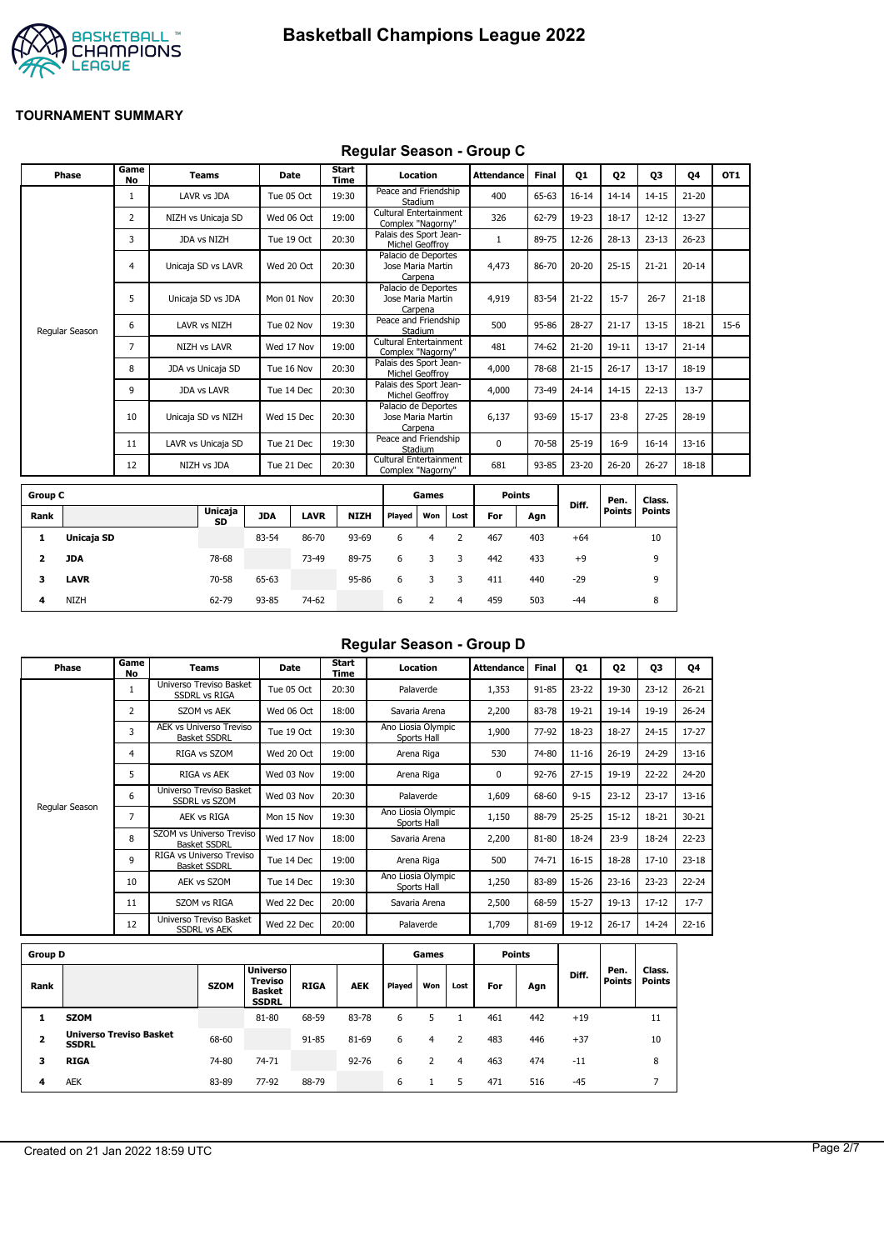



#### **Regular Season - Group C**

| Phase          | Game<br><b>No</b> | <b>Teams</b>        | Date       | Start<br>Time | Location                                            | <b>Attendance</b> | <b>Final</b> | Q1        | Q <sub>2</sub> | Q3        | Q4        | OT <sub>1</sub> |
|----------------|-------------------|---------------------|------------|---------------|-----------------------------------------------------|-------------------|--------------|-----------|----------------|-----------|-----------|-----------------|
|                | 1                 | LAVR vs JDA         | Tue 05 Oct | 19:30         | Peace and Friendship<br>Stadium                     | 400               | 65-63        | $16 - 14$ | $14 - 14$      | $14 - 15$ | $21 - 20$ |                 |
|                | 2                 | NIZH vs Unicaja SD  | Wed 06 Oct | 19:00         | Cultural Entertainment<br>Complex "Nagorny"         | 326               | 62-79        | 19-23     | $18 - 17$      | $12 - 12$ | 13-27     |                 |
|                | 3                 | JDA vs NIZH         | Tue 19 Oct | 20:30         | Palais des Sport Jean-<br>Michel Geoffroy           |                   | 89-75        | 12-26     | $28-13$        | $23 - 13$ | $26 - 23$ |                 |
|                | 4                 | Unicaja SD vs LAVR  | Wed 20 Oct | 20:30         | Palacio de Deportes<br>Jose Maria Martin<br>Carpena | 4,473             | 86-70        | $20 - 20$ | $25 - 15$      | $21 - 21$ | $20 - 14$ |                 |
|                | 5                 | Unicaja SD vs JDA   | Mon 01 Nov | 20:30         | Palacio de Deportes<br>Jose Maria Martin<br>Carpena | 4,919             | 83-54        | $21 - 22$ | $15 - 7$       | $26 - 7$  | $21 - 18$ |                 |
| Regular Season | 6                 | LAVR vs NIZH        | Tue 02 Nov | 19:30         | Peace and Friendship<br>Stadium                     | 500               | 95-86        | $28 - 27$ | $21 - 17$      | $13 - 15$ | 18-21     | $15-6$          |
|                | $\overline{7}$    | <b>NIZH vs LAVR</b> | Wed 17 Nov | 19:00         | Cultural Entertainment<br>Complex "Nagorny"         | 481               | 74-62        | $21 - 20$ | $19 - 11$      | $13 - 17$ | $21 - 14$ |                 |
|                | 8                 | JDA vs Unicaja SD   | Tue 16 Nov | 20:30         | Palais des Sport Jean-<br>Michel Geoffroy           | 4,000             | 78-68        | $21 - 15$ | $26 - 17$      | $13 - 17$ | 18-19     |                 |
|                | 9                 | <b>JDA vs LAVR</b>  | Tue 14 Dec | 20:30         | Palais des Sport Jean-<br>Michel Geoffrov           | 4,000             | 73-49        | $24 - 14$ | $14 - 15$      | $22 - 13$ | $13 - 7$  |                 |
|                | 10                | Unicaja SD vs NIZH  | Wed 15 Dec | 20:30         | Palacio de Deportes<br>Jose Maria Martin<br>Carpena | 6,137             | 93-69        | $15 - 17$ | $23 - 8$       | $27 - 25$ | 28-19     |                 |
|                | 11                | LAVR vs Unicaja SD  | Tue 21 Dec | 19:30         | Peace and Friendship<br>Stadium                     | $\Omega$          | 70-58        | $25-19$   | $16-9$         | $16 - 14$ | $13 - 16$ |                 |
|                | 12                | NIZH vs JDA         | Tue 21 Dec | 20:30         | Cultural Entertainment<br>Complex "Nagorny"         | 681               | 93-85        | 23-20     | $26 - 20$      | $26 - 27$ | 18-18     |                 |
|                |                   |                     |            |               |                                                     |                   |              |           |                |           |           |                 |

| <b>Group C</b> |             |                      |            |             |             |        | Games |      | <b>Points</b> |     |       | Pen.   | Class. |
|----------------|-------------|----------------------|------------|-------------|-------------|--------|-------|------|---------------|-----|-------|--------|--------|
| Rank           |             | <b>Unicaja</b><br>SD | <b>JDA</b> | <b>LAVR</b> | <b>NIZH</b> | Played | Won   | Lost | For           | Agn | Diff. | Points | Points |
| л.             | Unicaja SD  |                      | 83-54      | 86-70       | 93-69       | 6      | 4     |      | 467           | 403 | $+64$ |        | 10     |
| 2              | JDA         | 78-68                |            | 73-49       | 89-75       | 6      | 3     | 3    | 442           | 433 | $+9$  |        | 9      |
| 3              | <b>LAVR</b> | 70-58                | 65-63      |             | 95-86       | 6      |       |      | 411           | 440 | $-29$ |        | 9      |
| 4              | <b>NIZH</b> | 62-79                | 93-85      | 74-62       |             | 6      |       | 4    | 459           | 503 | $-44$ |        | 8      |

## **Regular Season - Group D**

| Phase          | Game<br>No     | Teams                                                 | <b>Date</b> | Start<br>Time | Location                          | <b>Attendance</b> | Final     | Q1        | 02        | 03        | Q4        |
|----------------|----------------|-------------------------------------------------------|-------------|---------------|-----------------------------------|-------------------|-----------|-----------|-----------|-----------|-----------|
|                | 1              | Universo Treviso Basket<br><b>SSDRL vs RIGA</b>       | Tue 05 Oct  | 20:30         | Palaverde                         | 1,353             | 91-85     | $23 - 22$ | 19-30     | $23 - 12$ | $26 - 21$ |
|                | $\overline{2}$ | SZOM vs AEK                                           | Wed 06 Oct  | 18:00         | Savaria Arena                     | 2,200             | 83-78     | 19-21     | $19 - 14$ | 19-19     | $26 - 24$ |
|                | 3              | <b>AEK vs Universo Treviso</b><br><b>Basket SSDRL</b> | Tue 19 Oct  | 19:30         | Ano Liosia Olympic<br>Sports Hall | 1,900             | 77-92     | 18-23     | 18-27     | $24 - 15$ | $17 - 27$ |
|                | 4              | RIGA vs SZOM                                          | Wed 20 Oct  | 19:00         | Arena Riga                        | 530               | 74-80     | $11 - 16$ | $26 - 19$ | 24-29     | $13 - 16$ |
|                | 5              | RIGA vs AEK                                           | Wed 03 Nov  | 19:00         | Arena Riga                        | 0                 | $92 - 76$ | $27 - 15$ | 19-19     | $22 - 22$ | 24-20     |
|                | 6              | Universo Treviso Basket<br><b>SSDRL vs SZOM</b>       | Wed 03 Nov  | 20:30         | Palaverde                         | 1,609             | 68-60     | $9 - 15$  | $23 - 12$ | $23 - 17$ | $13 - 16$ |
| Regular Season | 7              | AEK vs RIGA                                           | Mon 15 Nov  | 19:30         | Ano Liosia Olympic<br>Sports Hall | 1,150             | 88-79     | $25 - 25$ | $15 - 12$ | 18-21     | $30 - 21$ |
|                | 8              | SZOM vs Universo Treviso<br><b>Basket SSDRL</b>       | Wed 17 Nov  | 18:00         | Savaria Arena                     | 2,200             | 81-80     | 18-24     | $23-9$    | 18-24     | $22 - 23$ |
|                | 9              | RIGA vs Universo Treviso<br><b>Basket SSDRL</b>       | Tue 14 Dec  | 19:00         | Arena Riga                        | 500               | 74-71     | $16 - 15$ | 18-28     | $17 - 10$ | $23 - 18$ |
|                | 10             | AEK vs SZOM                                           | Tue 14 Dec  | 19:30         | Ano Liosia Olympic<br>Sports Hall | 1,250             | 83-89     | 15-26     | $23 - 16$ | $23 - 23$ | $22 - 24$ |
|                | 11             | SZOM vs RIGA                                          | Wed 22 Dec  | 20:00         | Savaria Arena                     | 2,500             | 68-59     | $15 - 27$ | $19-13$   | $17 - 12$ | $17 - 7$  |
|                | 12             | Universo Treviso Basket<br><b>SSDRL vs AEK</b>        | Wed 22 Dec  | 20:00         | Palaverde                         | 1,709             | 81-69     | 19-12     | $26 - 17$ | 14-24     | $22 - 16$ |
|                |                |                                                       |             |               |                                   |                   |           |           |           |           |           |

| <b>Group D</b> |                                                |             |                                                                    |             |            |        | Games |      |     | Points |       |                       |                         |
|----------------|------------------------------------------------|-------------|--------------------------------------------------------------------|-------------|------------|--------|-------|------|-----|--------|-------|-----------------------|-------------------------|
| Rank           |                                                | <b>SZOM</b> | <b>Universo</b><br><b>Treviso</b><br><b>Basket</b><br><b>SSDRL</b> | <b>RIGA</b> | <b>AEK</b> | Played | Won   | Lost | For | Agn    | Diff. | Pen.<br><b>Points</b> | Class.<br><b>Points</b> |
|                | <b>SZOM</b>                                    |             | 81-80                                                              | 68-59       | 83-78      | 6      |       |      | 461 | 442    | $+19$ |                       | 11                      |
| 2              | <b>Universo Treviso Basket</b><br><b>SSDRL</b> | 68-60       |                                                                    | 91-85       | 81-69      | 6      | 4     |      | 483 | 446    | $+37$ |                       | 10                      |
| 3              | <b>RIGA</b>                                    | 74-80       | 74-71                                                              |             | $92 - 76$  | 6      |       | 4    | 463 | 474    | $-11$ |                       | 8                       |
| 4              | <b>AEK</b>                                     | 83-89       | 77-92                                                              | 88-79       |            | 6      |       | 5    | 471 | 516    | $-45$ |                       |                         |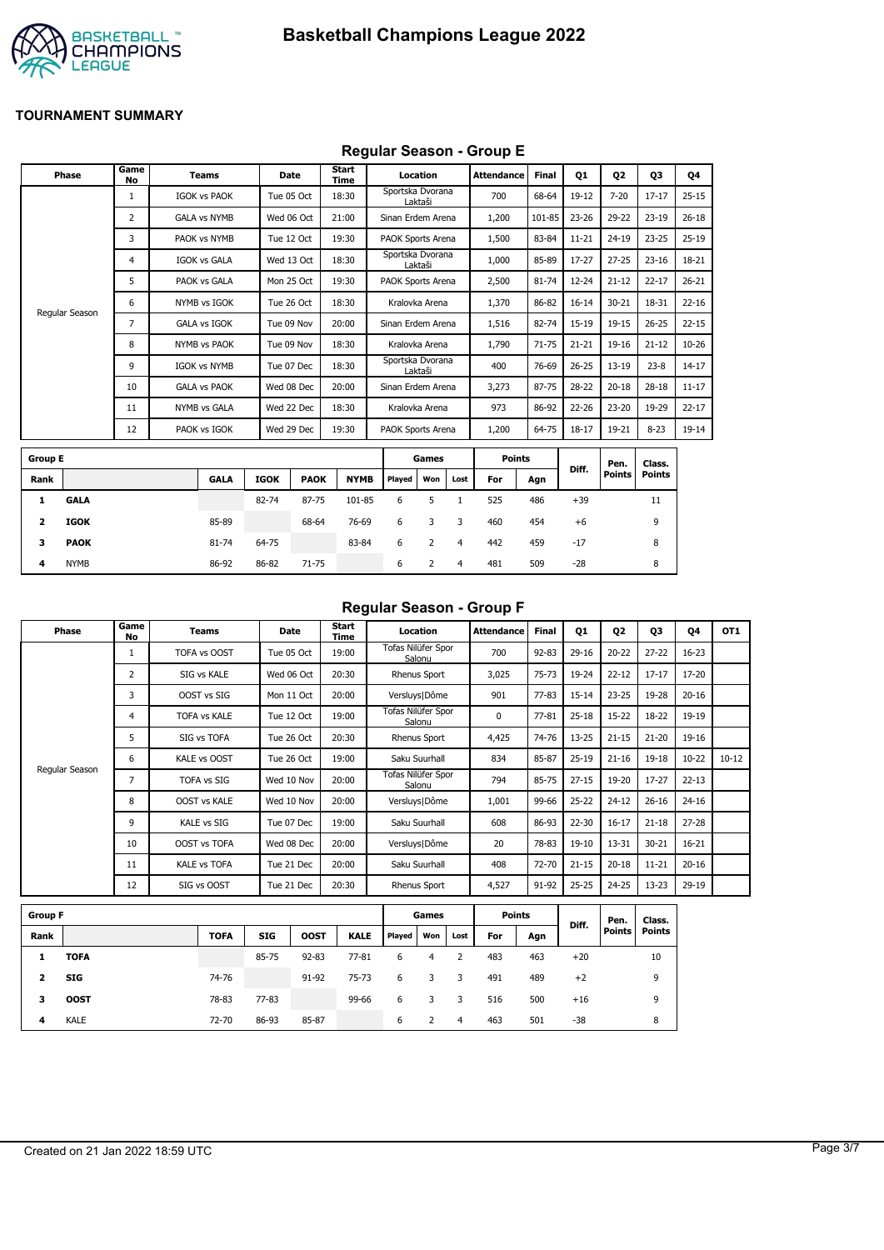

## **Regular Season - Group E**

|                         | Phase          | Game<br>No     | <b>Teams</b>        |             | Date        | Start<br>Time |             |                   | Location       |                | <b>Attendance</b> | Final     | <b>Q1</b> | 02        | 03            | Q4        |
|-------------------------|----------------|----------------|---------------------|-------------|-------------|---------------|-------------|-------------------|----------------|----------------|-------------------|-----------|-----------|-----------|---------------|-----------|
|                         |                | 1              | <b>IGOK vs PAOK</b> |             | Tue 05 Oct  | 18:30         |             | Sportska Dvorana  | Laktaši        |                | 700               | 68-64     | 19-12     | $7 - 20$  | $17 - 17$     | $25 - 15$ |
|                         |                | $\overline{2}$ | <b>GALA vs NYMB</b> |             | Wed 06 Oct  | 21:00         |             | Sinan Erdem Arena |                |                | 1,200             | 101-85    | 23-26     | 29-22     | $23-19$       | $26 - 18$ |
|                         |                | 3              | PAOK vs NYMB        |             | Tue 12 Oct  | 19:30         |             | PAOK Sports Arena |                |                | 1,500             | 83-84     | $11 - 21$ | $24 - 19$ | $23 - 25$     | $25-19$   |
|                         |                | 4              | <b>IGOK vs GALA</b> |             | Wed 13 Oct  | 18:30         |             | Sportska Dvorana  | Laktaši        |                | 1,000             | 85-89     | $17-27$   | $27 - 25$ | $23 - 16$     | 18-21     |
|                         |                | 5              | PAOK vs GALA        |             | Mon 25 Oct  | 19:30         |             | PAOK Sports Arena |                |                | 2,500             | 81-74     | $12 - 24$ | $21 - 12$ | $22 - 17$     | $26 - 21$ |
|                         | Regular Season | 6              | NYMB vs IGOK        |             | Tue 26 Oct  | 18:30         |             | Kralovka Arena    |                |                | 1,370             | 86-82     | $16 - 14$ | $30 - 21$ | 18-31         | $22 - 16$ |
|                         |                | $\overline{7}$ | <b>GALA vs IGOK</b> |             | Tue 09 Nov  | 20:00         |             | Sinan Erdem Arena |                |                | 1,516             | 82-74     | $15 - 19$ | $19 - 15$ | $26 - 25$     | $22 - 15$ |
|                         |                | 8              | NYMB vs PAOK        |             | Tue 09 Nov  | 18:30         |             | Kralovka Arena    |                |                | 1,790             | $71 - 75$ | $21 - 21$ | 19-16     | $21 - 12$     | $10 - 26$ |
|                         |                | 9              | <b>IGOK vs NYMB</b> |             | Tue 07 Dec  | 18:30         |             | Sportska Dvorana  | Laktaši        |                | 400               | 76-69     | $26 - 25$ | $13 - 19$ | $23-8$        | $14 - 17$ |
|                         |                | 10             | <b>GALA vs PAOK</b> |             | Wed 08 Dec  | 20:00         |             | Sinan Erdem Arena |                |                | 3,273             | 87-75     | 28-22     | $20 - 18$ | $28 - 18$     | $11 - 17$ |
|                         |                | 11             | <b>NYMB vs GALA</b> |             | Wed 22 Dec  | 18:30         |             |                   | Kralovka Arena |                | 973               | 86-92     | $22 - 26$ | $23 - 20$ | 19-29         | $22 - 17$ |
|                         |                | 12             | PAOK vs IGOK        |             | Wed 29 Dec  | 19:30         |             | PAOK Sports Arena |                |                | 1,200             | 64-75     | $18 - 17$ | 19-21     | $8 - 23$      | 19-14     |
| <b>Group E</b>          |                |                |                     |             |             |               |             |                   | Games          |                | <b>Points</b>     |           |           | Pen.      | Class.        |           |
| Rank                    |                |                | <b>GALA</b>         | <b>IGOK</b> | <b>PAOK</b> |               | <b>NYMB</b> | Played            | Won            | Lost           | For               | Agn       | Diff.     | Points    | <b>Points</b> |           |
| 1                       | <b>GALA</b>    |                |                     | 82-74       | 87-75       |               | 101-85      | 6                 | 5              | $\mathbf{1}$   | 525               | 486       | $+39$     |           | 11            |           |
| $\overline{\mathbf{z}}$ | <b>IGOK</b>    |                | 85-89               |             | 68-64       |               | 76-69       | 6                 | 3              | 3              | 460               | 454       | $+6$      |           | 9             |           |
| з                       | <b>PAOK</b>    |                | 81-74               | 64-75       |             |               | 83-84       | 6                 | 2              | $\overline{4}$ | 442               | 459       | $-17$     |           | 8             |           |
| 4                       | <b>NYMB</b>    |                | 86-92               | 86-82       | $71 - 75$   |               |             | 6                 | $\overline{2}$ | $\overline{4}$ | 481               | 509       | $-28$     |           | 8             |           |

### **Regular Season - Group F**

| Phase          | Game<br>No | Teams               | Date       | Start<br>Time | Location                     | Attendance | <b>Final</b> | 01        | 02        | 03        | 04        | OT <sub>1</sub> |
|----------------|------------|---------------------|------------|---------------|------------------------------|------------|--------------|-----------|-----------|-----------|-----------|-----------------|
|                |            | TOFA vs OOST        | Tue 05 Oct | 19:00         | Tofas Nilüfer Spor<br>Salonu | 700        | $92 - 83$    | $29 - 16$ | $20 - 22$ | $27 - 22$ | $16 - 23$ |                 |
|                | 2          | SIG vs KALE         | Wed 06 Oct | 20:30         | Rhenus Sport                 | 3,025      | $75 - 73$    | 19-24     | $22 - 12$ | $17 - 17$ | 17-20     |                 |
|                | 3          | OOST vs SIG         | Mon 11 Oct | 20:00         | Versluys   Dôme              | 901        | $77 - 83$    | $15 - 14$ | $23 - 25$ | 19-28     | $20 - 16$ |                 |
|                | 4          | <b>TOFA vs KALE</b> | Tue 12 Oct | 19:00         | Tofas Nilüfer Spor<br>Salonu | 0          | $77 - 81$    | $25 - 18$ | $15 - 22$ | $18 - 22$ | 19-19     |                 |
|                | 5          | SIG vs TOFA         | Tue 26 Oct | 20:30         | Rhenus Sport                 | 4,425      | 74-76        | $13 - 25$ | $21 - 15$ | $21 - 20$ | 19-16     |                 |
| Regular Season | 6          | KALE vs OOST        | Tue 26 Oct | 19:00         | Saku Suurhall                | 834        | 85-87        | $25-19$   | $21 - 16$ | $19 - 18$ | $10 - 22$ | $10 - 12$       |
|                | 7          | <b>TOFA vs SIG</b>  | Wed 10 Nov | 20:00         | Tofas Nilüfer Spor<br>Salonu | 794        | 85-75        | $27 - 15$ | 19-20     | $17 - 27$ | $22 - 13$ |                 |
|                | 8          | <b>OOST vs KALE</b> | Wed 10 Nov | 20:00         | Versluys   Dôme              | 1,001      | 99-66        | $25 - 22$ | $24 - 12$ | $26 - 16$ | $24 - 16$ |                 |
|                | 9          | <b>KALE vs SIG</b>  | Tue 07 Dec | 19:00         | Saku Suurhall                | 608        | 86-93        | 22-30     | $16 - 17$ | $21 - 18$ | $27 - 28$ |                 |
|                | 10         | <b>OOST vs TOFA</b> | Wed 08 Dec | 20:00         | Versluys   Dôme              | 20         | 78-83        | $19-10$   | 13-31     | $30 - 21$ | $16 - 21$ |                 |
|                | 11         | <b>KALE vs TOFA</b> | Tue 21 Dec | 20:00         | Saku Suurhall                | 408        | 72-70        | $21 - 15$ | $20 - 18$ | $11 - 21$ | $20 - 16$ |                 |
|                | 12         | SIG vs OOST         | Tue 21 Dec | 20:30         | Rhenus Sport                 | 4,527      | 91-92        | $25 - 25$ | $24 - 25$ | $13 - 23$ | $29-19$   |                 |

| <b>Group F</b> |             |             |            |             |             |        | Games |      | <b>Points</b> |     | Diff. | Pen.          | Class. |
|----------------|-------------|-------------|------------|-------------|-------------|--------|-------|------|---------------|-----|-------|---------------|--------|
| Rank           |             | <b>TOFA</b> | <b>SIG</b> | <b>OOST</b> | <b>KALE</b> | Played | Won   | Lost | For           | Agn |       | <b>Points</b> | Points |
| 1              | <b>TOFA</b> |             | 85-75      | $92 - 83$   | $77 - 81$   | 6      |       |      | 483           | 463 | $+20$ |               | 10     |
| 2              | SIG         | 74-76       |            | 91-92       | 75-73       | 6      | 3     | 3    | 491           | 489 | $+2$  |               | 9      |
| з              | <b>OOST</b> | 78-83       | 77-83      |             | 99-66       | 6      | 3     | 3    | 516           | 500 | $+16$ |               | 9      |
| 4              | <b>KALE</b> | 72-70       | 86-93      | 85-87       |             | 6      |       | 4    | 463           | 501 | -38   |               | 8      |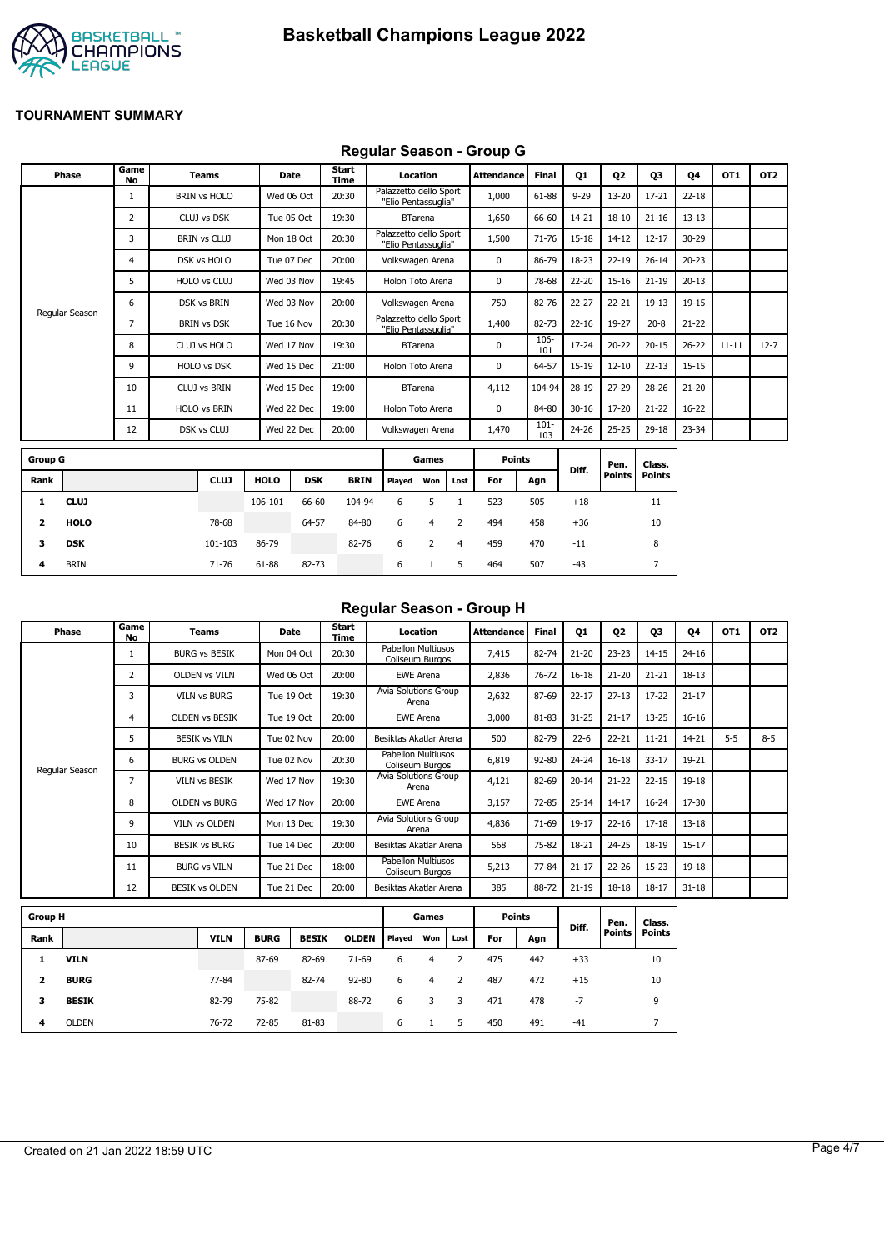

## **Regular Season - Group G**

|                | <b>Phase</b>   | Game<br>No | <b>Teams</b>        | Date        |            | <b>Start</b><br>Time |                                               | Location       |      | <b>Attendance</b> | <b>Final</b>   | Q1        | Q <sub>2</sub> | Q3            | 04        | OT1       | OT <sub>2</sub> |
|----------------|----------------|------------|---------------------|-------------|------------|----------------------|-----------------------------------------------|----------------|------|-------------------|----------------|-----------|----------------|---------------|-----------|-----------|-----------------|
|                |                |            | <b>BRIN vs HOLO</b> | Wed 06 Oct  |            | 20:30                | Palazzetto dello Sport<br>"Elio Pentassuglia" |                |      | 1,000             | 61-88          | $9 - 29$  | $13 - 20$      | $17 - 21$     | $22 - 18$ |           |                 |
|                |                | 2          | CLUJ vs DSK         | Tue 05 Oct  |            | 19:30                |                                               | <b>BTarena</b> |      | 1,650             | 66-60          | 14-21     | $18 - 10$      | $21 - 16$     | $13 - 13$ |           |                 |
|                |                | 3          | <b>BRIN vs CLUJ</b> | Mon 18 Oct  |            | 20:30                | Palazzetto dello Sport<br>"Elio Pentassuglia" |                |      | 1,500             | 71-76          | 15-18     | $14 - 12$      | $12 - 17$     | 30-29     |           |                 |
|                |                | 4          | DSK vs HOLO         | Tue 07 Dec  |            | 20:00                | Volkswagen Arena                              |                |      | 0                 | 86-79          | 18-23     | $22 - 19$      | $26 - 14$     | $20 - 23$ |           |                 |
|                |                | 5          | HOLO vs CLUJ        | Wed 03 Nov  |            | 19:45                | Holon Toto Arena                              |                |      | 0                 | 78-68          | 22-20     | $15 - 16$      | $21 - 19$     | $20 - 13$ |           |                 |
|                |                | 6          | <b>DSK vs BRIN</b>  | Wed 03 Nov  |            | 20:00                | Volkswagen Arena                              |                |      | 750               | 82-76          | 22-27     | $22 - 21$      | $19 - 13$     | 19-15     |           |                 |
|                | Regular Season | 7          | <b>BRIN vs DSK</b>  | Tue 16 Nov  |            | 20:30                | Palazzetto dello Sport<br>"Elio Pentassuglia" |                |      | 1,400             | 82-73          | $22 - 16$ | 19-27          | $20 - 8$      | $21 - 22$ |           |                 |
|                |                | 8          | CLUJ vs HOLO        | Wed 17 Nov  |            | 19:30                |                                               | <b>BTarena</b> |      | $\mathbf 0$       | 106-<br>101    | 17-24     | $20 - 22$      | $20 - 15$     | $26 - 22$ | $11 - 11$ | $12 - 7$        |
|                |                | 9          | HOLO vs DSK         | Wed 15 Dec  |            | 21:00                | Holon Toto Arena                              |                |      | 0                 | 64-57          | 15-19     | $12 - 10$      | $22 - 13$     | $15 - 15$ |           |                 |
|                |                | 10         | <b>CLUJ vs BRIN</b> | Wed 15 Dec  |            | 19:00                |                                               | <b>BTarena</b> |      | 4,112             | 104-94         | 28-19     | $27 - 29$      | 28-26         | $21 - 20$ |           |                 |
|                |                | 11         | <b>HOLO vs BRIN</b> | Wed 22 Dec  |            | 19:00                | Holon Toto Arena                              |                |      | 0                 | 84-80          | $30 - 16$ | 17-20          | $21 - 22$     | 16-22     |           |                 |
|                |                | 12         | DSK vs CLUJ         | Wed 22 Dec  |            | 20:00                | Volkswagen Arena                              |                |      | 1,470             | $101 -$<br>103 | 24-26     | $25 - 25$      | 29-18         | 23-34     |           |                 |
| <b>Group G</b> |                |            |                     |             |            |                      |                                               | Games          |      | <b>Points</b>     |                |           | Pen.           | Class.        |           |           |                 |
| Rank           |                |            | <b>CLUJ</b>         | <b>HOLO</b> | <b>DSK</b> | <b>BRIN</b>          | Played                                        | Won            | Lost | For               | Agn            | Diff.     | Points         | <b>Points</b> |           |           |                 |
| 1              | <b>CLUJ</b>    |            |                     | 106-101     | 66-60      | 104-94               | 6                                             | 5              |      | 523               | 505            | $+18$     |                | 11            |           |           |                 |

| Regular Season - Group H |  |  |
|--------------------------|--|--|
|                          |  |  |

| Phase          | Game<br>No     | <b>Teams</b>          | Date       | Start<br>Time | Location                              | Attendance | <b>Final</b>                                                                                                                                                                                                                                                                                                                                                                                                                    | Q1        | Q <sub>2</sub> | Q3                                                                            | <b>Q4</b> | OT <sub>1</sub> | OT <sub>2</sub> |
|----------------|----------------|-----------------------|------------|---------------|---------------------------------------|------------|---------------------------------------------------------------------------------------------------------------------------------------------------------------------------------------------------------------------------------------------------------------------------------------------------------------------------------------------------------------------------------------------------------------------------------|-----------|----------------|-------------------------------------------------------------------------------|-----------|-----------------|-----------------|
|                |                | <b>BURG vs BESIK</b>  | Mon 04 Oct | 20:30         | Pabellon Multiusos<br>Coliseum Burgos | 7,415      | 82-74                                                                                                                                                                                                                                                                                                                                                                                                                           | $21 - 20$ | $23 - 23$      | $14 - 15$                                                                     | $24 - 16$ |                 |                 |
|                | $\overline{2}$ | <b>OLDEN vs VILN</b>  | Wed 06 Oct | 20:00         | <b>EWE Arena</b>                      | 2,836      | 76-72                                                                                                                                                                                                                                                                                                                                                                                                                           | $16 - 18$ | $21 - 20$      | $21 - 21$                                                                     | 18-13     |                 |                 |
|                | 3              | <b>VILN vs BURG</b>   | Tue 19 Oct | 19:30         | Avia Solutions Group<br>Arena         | 2,632      | 87-69                                                                                                                                                                                                                                                                                                                                                                                                                           | $22 - 17$ | $27 - 13$      | $17 - 22$                                                                     | $21 - 17$ |                 |                 |
|                | 4              | <b>OLDEN VS BESIK</b> | Tue 19 Oct | 20:00         | <b>EWE Arena</b>                      | 3,000      | 81-83                                                                                                                                                                                                                                                                                                                                                                                                                           | $31 - 25$ | $21 - 17$      | $13 - 25$<br>$16 - 16$<br>$5 - 5$<br>$11 - 21$<br>14-21<br>$33 - 17$<br>19-21 |           |                 |                 |
|                | 5.             | <b>BESIK vs VILN</b>  | Tue 02 Nov | 20:00         | Besiktas Akatlar Arena                | 500        | 82-79<br>$22 - 21$<br>$22 - 6$<br>$16 - 18$<br>92-80<br>$24 - 24$<br>82-69<br>$21 - 22$<br>$20 - 14$<br>$22 - 15$<br>$19 - 18$<br>72-85<br>$25 - 14$<br>$14 - 17$<br>$16 - 24$<br>17-30<br>71-69<br>19-17<br>$22 - 16$<br>$17 - 18$<br>$13 - 18$<br>18-21<br>$24 - 25$<br>$15 - 17$<br>75-82<br>18-19<br>$21 - 17$<br>$22 - 26$<br>$15 - 23$<br>77-84<br>$19 - 18$<br>88-72<br>$21 - 19$<br>$18 - 18$<br>$18 - 17$<br>$31 - 18$ | $8 - 5$   |                |                                                                               |           |                 |                 |
|                | 6              | <b>BURG vs OLDEN</b>  | Tue 02 Nov | 20:30         | Pabellon Multiusos<br>Coliseum Burgos | 6,819      |                                                                                                                                                                                                                                                                                                                                                                                                                                 |           |                |                                                                               |           |                 |                 |
| Regular Season | 7              | <b>VILN vs BESIK</b>  | Wed 17 Nov | 19:30         | Avia Solutions Group<br>Arena         | 4,121      |                                                                                                                                                                                                                                                                                                                                                                                                                                 |           |                |                                                                               |           |                 |                 |
|                | 8              | <b>OLDEN vs BURG</b>  | Wed 17 Nov | 20:00         | <b>EWE Arena</b>                      | 3,157      |                                                                                                                                                                                                                                                                                                                                                                                                                                 |           |                |                                                                               |           |                 |                 |
|                | 9              | <b>VILN vs OLDEN</b>  | Mon 13 Dec | 19:30         | <b>Avia Solutions Group</b><br>Arena  | 4,836      |                                                                                                                                                                                                                                                                                                                                                                                                                                 |           |                |                                                                               |           |                 |                 |
|                | 10             | <b>BESIK vs BURG</b>  | Tue 14 Dec | 20:00         | Besiktas Akatlar Arena                | 568        |                                                                                                                                                                                                                                                                                                                                                                                                                                 |           |                |                                                                               |           |                 |                 |
|                | 11             | <b>BURG vs VILN</b>   | Tue 21 Dec | 18:00         | Pabellon Multiusos<br>Coliseum Burgos | 5,213      |                                                                                                                                                                                                                                                                                                                                                                                                                                 |           |                |                                                                               |           |                 |                 |
|                | 12             | <b>BESIK vs OLDEN</b> | Tue 21 Dec | 20:00         | Besiktas Akatlar Arena                | 385        |                                                                                                                                                                                                                                                                                                                                                                                                                                 |           |                |                                                                               |           |                 |                 |

| <b>Group H</b> |              |             |             |              | Games        |        | <b>Points</b> |      |     | Pen. | Class. |        |        |
|----------------|--------------|-------------|-------------|--------------|--------------|--------|---------------|------|-----|------|--------|--------|--------|
| Rank           |              | <b>VILN</b> | <b>BURG</b> | <b>BESIK</b> | <b>OLDEN</b> | Played | Won           | Lost | For | Agn  | Diff.  | Points | Points |
|                | <b>VILN</b>  |             | 87-69       | 82-69        | $71-69$      | 6      | 4             |      | 475 | 442  | $+33$  |        | 10     |
| 2              | <b>BURG</b>  | 77-84       |             | 82-74        | $92 - 80$    | 6      | 4             | 2    | 487 | 472  | $+15$  |        | 10     |
| з              | <b>BESIK</b> | 82-79       | 75-82       |              | 88-72        | 6      |               | 3    | 471 | 478  | -7     |        | 9      |
| 4              | <b>OLDEN</b> | 76-72       | 72-85       | 81-83        |              | 6      |               | 5    | 450 | 491  | $-41$  |        |        |

**2 HOLO** 78-68 64-57 84-80 6 4 2 494 458 +36 10 **3 DSK** 101-103 86-79 82-76 6 2 4 459 470 -11 8 **4** BRIN 71-76 61-88 82-73 6 1 5 464 507 -43 7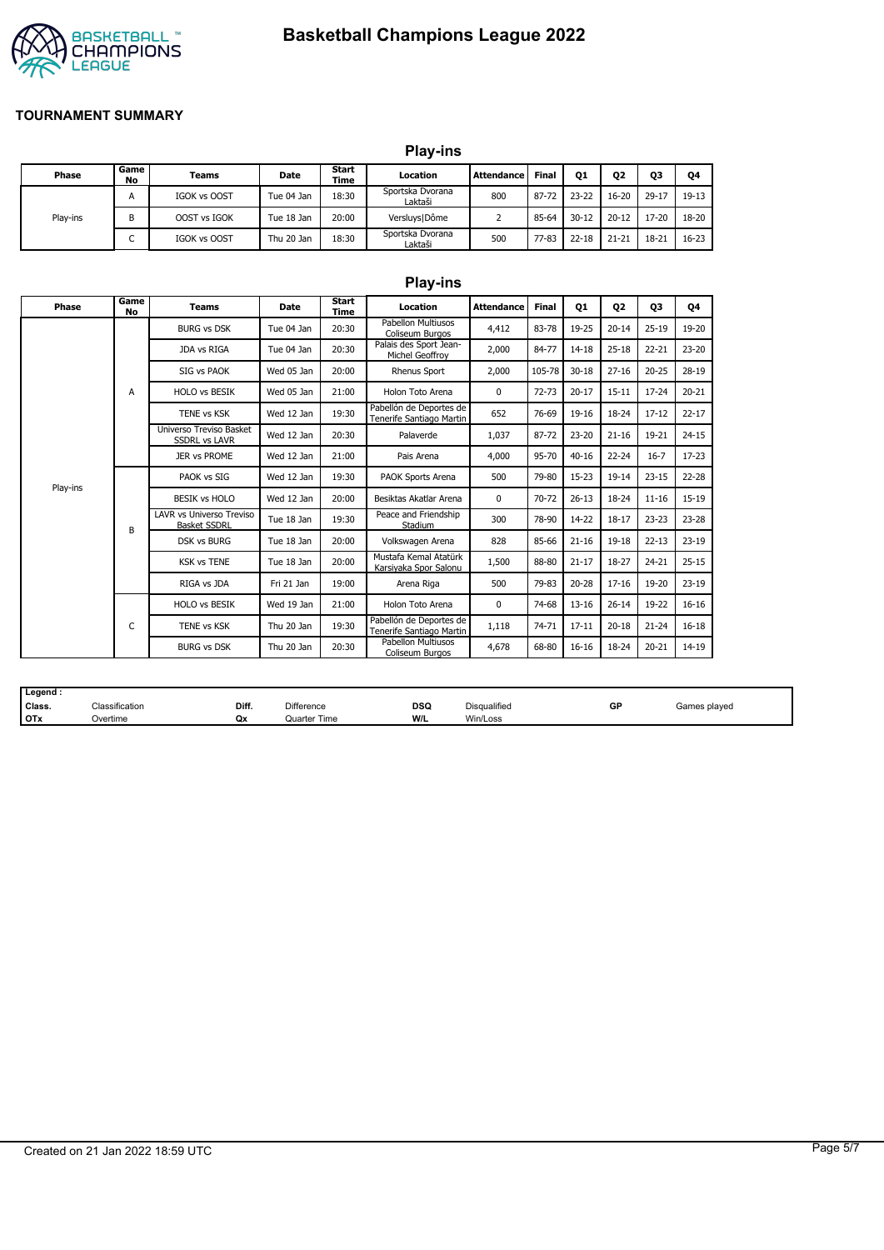# **Basketball Champions League 2022**



#### **TOURNAMENT SUMMARY**

|          |                               |                     |            |               | <b>Play-ins</b>             |                   |              |           |                |           |           |
|----------|-------------------------------|---------------------|------------|---------------|-----------------------------|-------------------|--------------|-----------|----------------|-----------|-----------|
| Phase    | Game<br>No                    | Teams               | Date       | Start<br>Time | Location                    | <b>Attendance</b> | <b>Final</b> | Q1        | Q <sub>2</sub> | Q3        | Q4        |
|          | A                             | IGOK vs OOST        | Tue 04 Jan | 18:30         | Sportska Dvorana<br>Laktaši | 800               | 87-72        | $23 - 22$ | $16 - 20$      | $29 - 17$ | $19-13$   |
| Play-ins | B                             | OOST vs IGOK        | Tue 18 Jan | 20:00         | Versluys   Dôme             |                   | 85-64        | $30 - 12$ | $20 - 12$      | $17 - 20$ | 18-20     |
|          | $\overline{\phantom{0}}$<br>◡ | <b>IGOK vs OOST</b> | Thu 20 Jan | 18:30         | Sportska Dvorana<br>Laktaši | 500               | 77-83        | $22 - 18$ | $21 - 21$      | $18 - 21$ | $16 - 23$ |

|          |                   |                                                        |                                                 |                      | <b>Play-ins</b>                                     |              |                |           |                                              |           |           |
|----------|-------------------|--------------------------------------------------------|-------------------------------------------------|----------------------|-----------------------------------------------------|--------------|----------------|-----------|----------------------------------------------|-----------|-----------|
| Phase    | Game<br><b>No</b> | <b>Teams</b>                                           | <b>Date</b>                                     | Start<br><b>Time</b> | Location                                            | Attendance   | <b>Final</b>   | <b>01</b> | 02                                           | Q3        | 04        |
|          |                   | <b>BURG vs DSK</b>                                     | Tue 04 Jan                                      | 20:30                | Pabellon Multiusos<br>Coliseum Burgos               | 4,412        | 83-78          | 19-25     | $20 - 14$                                    | $25-19$   | 19-20     |
|          |                   | JDA vs RIGA                                            | Tue 04 Jan                                      | 20:30                | Palais des Sport Jean-<br>Michel Geoffroy           | 2,000        | 84-77          | 14-18     | $25 - 18$                                    | $22 - 21$ | $23 - 20$ |
|          |                   | SIG vs PAOK                                            | Wed 05 Jan                                      | 20:00                | <b>Rhenus Sport</b>                                 | 2,000        | 105-78         | $30 - 18$ | $27 - 16$                                    | $20 - 25$ | 28-19     |
|          | A                 | <b>HOLO vs BESIK</b>                                   | Wed 05 Jan                                      | 21:00                | Holon Toto Arena                                    | $\mathbf 0$  | $72 - 73$      | $20 - 17$ | $15 - 11$                                    | $17 - 24$ | $20 - 21$ |
|          |                   | TENE vs KSK                                            | Wed 12 Jan                                      | 19:30                | Pabellón de Deportes de<br>Tenerife Santiago Martin | 652          | 76-69<br>87-72 | 19-16     | 18-24                                        | $17 - 12$ | $22 - 17$ |
|          |                   | Universo Treviso Basket<br><b>SSDRL vs LAVR</b>        | Wed 12 Jan                                      | 20:30                | Palaverde                                           | 1,037        |                | $23 - 20$ | $21 - 16$                                    | 19-21     | $24 - 15$ |
|          |                   | 21:00<br><b>JER vs PROME</b><br>Wed 12 Jan             |                                                 | Pais Arena           | 4,000                                               | 95-70        | $40 - 16$      | $22 - 24$ | $16 - 7$                                     | $17 - 23$ |           |
| Play-ins |                   | PAOK vs SIG                                            | 19:30<br>Wed 12 Jan<br>PAOK Sports Arena<br>500 | 79-80                | 15-23                                               | $19 - 14$    | $23 - 15$      | $22 - 28$ |                                              |           |           |
|          |                   | <b>BESIK vs HOLO</b>                                   | Wed 12 Jan                                      | 20:00                | Besiktas Akatlar Arena                              | 0            | 70-72          | $26 - 13$ | 18-24                                        | $11 - 16$ | 15-19     |
|          | B                 | <b>LAVR vs Universo Treviso</b><br><b>Basket SSDRL</b> | Tue 18 Jan                                      | 19:30                | Peace and Friendship<br>Stadium                     | 300          | 78-90          | 14-22     | $18 - 17$                                    | $23 - 23$ | $23 - 28$ |
|          |                   | <b>DSK vs BURG</b>                                     | Tue 18 Jan                                      | 20:00                | Volkswagen Arena                                    | 828          | 85-66          | $21 - 16$ | $19-18$<br>$22 - 13$                         | $23-19$   |           |
|          |                   | <b>KSK vs TENE</b>                                     | Tue 18 Jan                                      | 20:00                | Mustafa Kemal Atatürk<br>Karsiyaka Spor Salonu      | 1,500        | 88-80          | $21 - 17$ | 18-27                                        | 24-21     | $25 - 15$ |
|          |                   | RIGA vs JDA                                            | Fri 21 Jan                                      | 19:00                | Arena Riga                                          | 500          | 79-83          | $20 - 28$ | $17 - 16$                                    | 19-20     | $23-19$   |
|          |                   | <b>HOLO vs BESIK</b>                                   | Wed 19 Jan                                      | 21:00                | Holon Toto Arena                                    | $\mathbf{0}$ | 74-68          | $13 - 16$ | $26 - 14$<br>19-22<br>$20 - 18$<br>$21 - 24$ | $16 - 16$ |           |
|          | C                 | TENE vs KSK                                            | Thu 20 Jan                                      | 19:30                | Pabellón de Deportes de<br>Tenerife Santiago Martin | 1,118        | 74-71          | $17 - 11$ |                                              |           | $16 - 18$ |
|          |                   | <b>BURG vs DSK</b>                                     | Thu 20 Jan                                      | 20:30                | Pabellon Multiusos<br>Coliseum Burgos               | 4,678        | 68-80          | $16 - 16$ | 18-24                                        | $20 - 21$ | 14-19     |

| Legend     |                                            |       |                   |     |              |    |              |
|------------|--------------------------------------------|-------|-------------------|-----|--------------|----|--------------|
| Class.     | $\overline{\phantom{a}}$<br>Classification | Diff. | <b>Difference</b> | DSQ | Disqualified | GP | Games played |
| <b>OTx</b> | Overtime                                   | Qx    | Quarter Time      | W/L | Win/Loss     |    |              |

## Created on 21 Jan 2022 18:59 UTC Page 5/7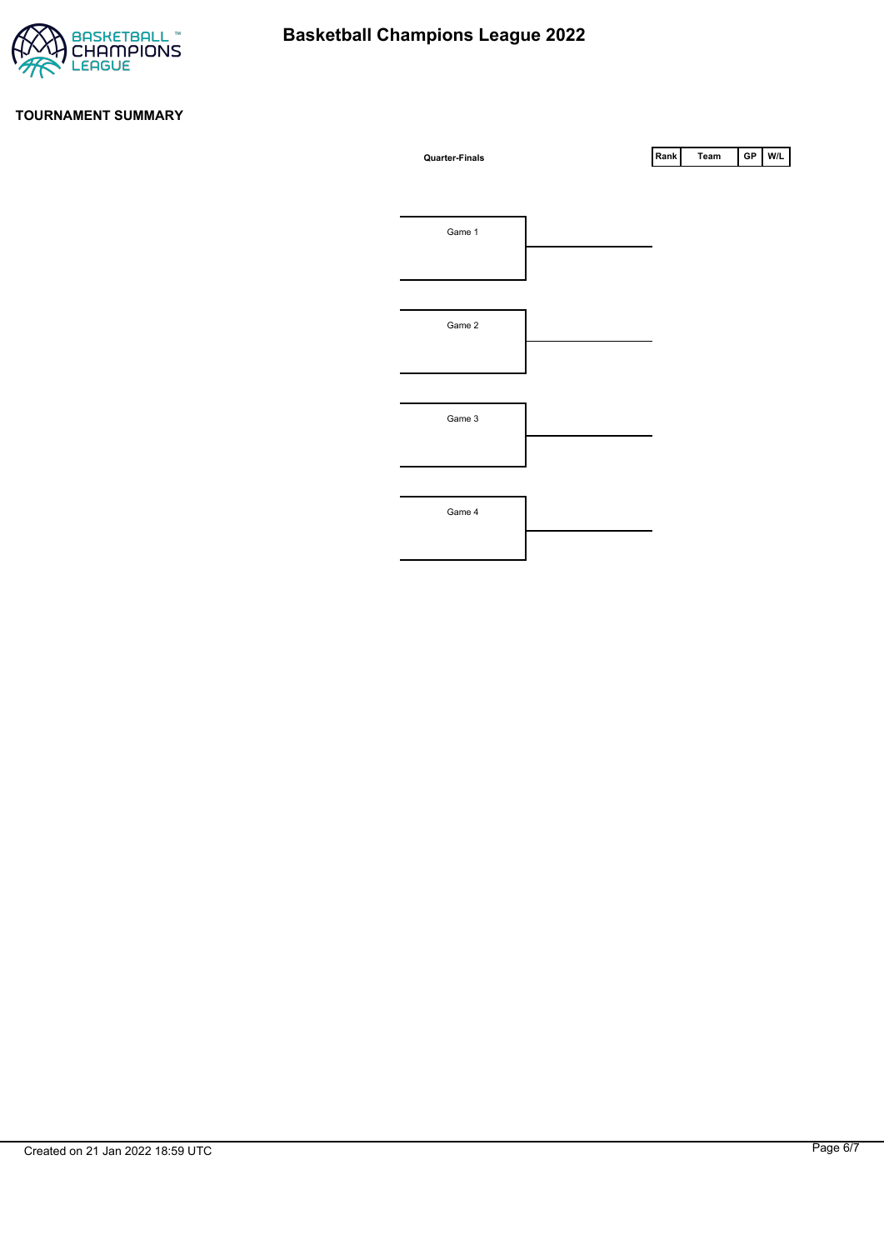